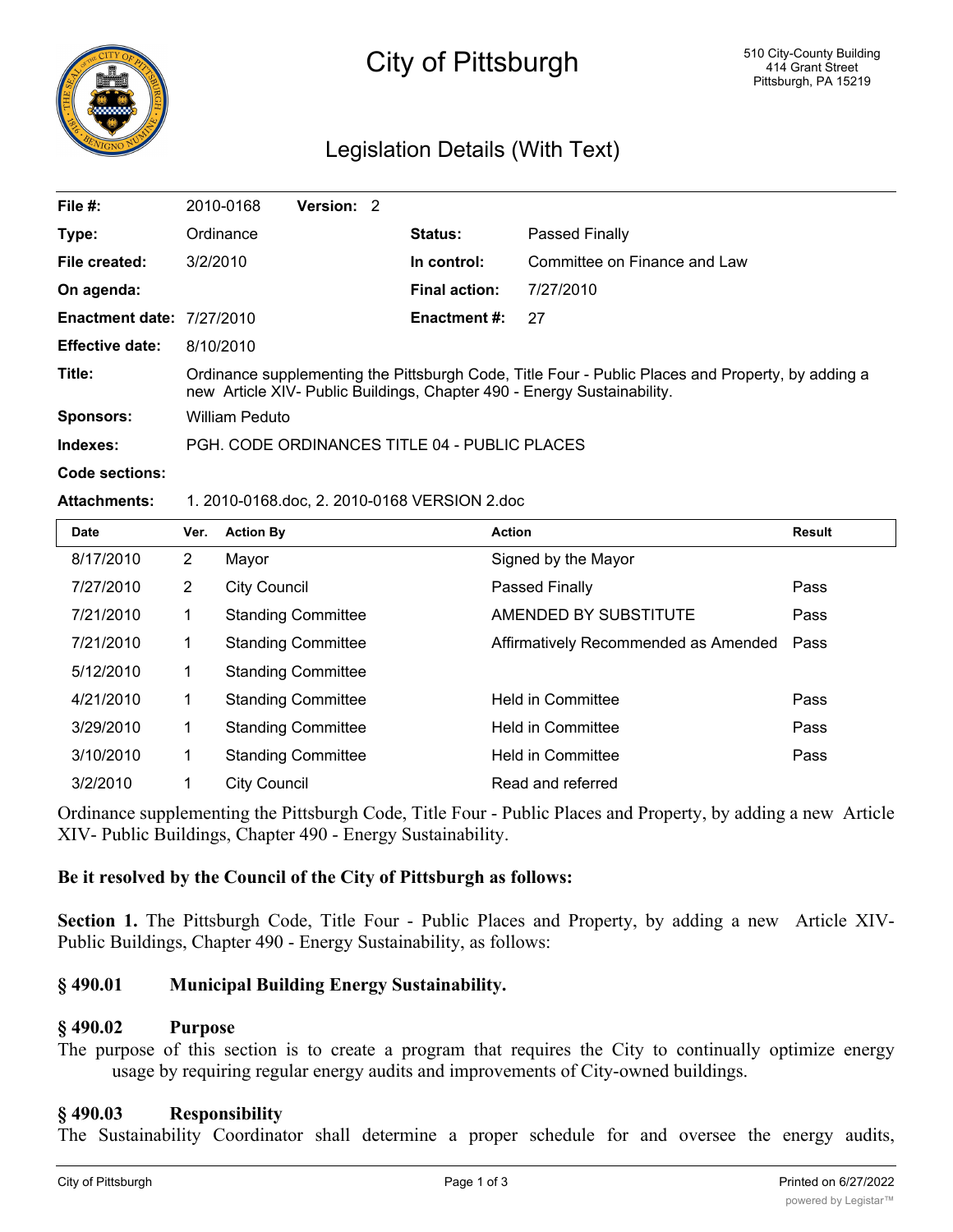

# City of Pittsburgh

## Legislation Details (With Text)

| File $#$ :                       | 2010-0168                                                                                                                                                                    | Version: 2 |  |                      |                              |
|----------------------------------|------------------------------------------------------------------------------------------------------------------------------------------------------------------------------|------------|--|----------------------|------------------------------|
| Type:                            | Ordinance                                                                                                                                                                    |            |  | <b>Status:</b>       | Passed Finally               |
| File created:                    | 3/2/2010                                                                                                                                                                     |            |  | In control:          | Committee on Finance and Law |
| On agenda:                       |                                                                                                                                                                              |            |  | <b>Final action:</b> | 7/27/2010                    |
| <b>Enactment date: 7/27/2010</b> |                                                                                                                                                                              |            |  | <b>Enactment #:</b>  | 27                           |
| <b>Effective date:</b>           | 8/10/2010                                                                                                                                                                    |            |  |                      |                              |
| Title:                           | Ordinance supplementing the Pittsburgh Code, Title Four - Public Places and Property, by adding a<br>new Article XIV- Public Buildings, Chapter 490 - Energy Sustainability. |            |  |                      |                              |
| <b>Sponsors:</b>                 | William Peduto                                                                                                                                                               |            |  |                      |                              |
| Indexes:                         | PGH, CODE ORDINANCES TITLE 04 - PUBLIC PLACES                                                                                                                                |            |  |                      |                              |
|                                  |                                                                                                                                                                              |            |  |                      |                              |

#### **Code sections:**

#### **Attachments:** 1. 2010-0168.doc, 2. 2010-0168 VERSION 2.doc

| <b>Date</b> | Ver.           | <b>Action By</b>          | <b>Action</b>                        | <b>Result</b> |
|-------------|----------------|---------------------------|--------------------------------------|---------------|
| 8/17/2010   | $\overline{2}$ | Mayor                     | Signed by the Mayor                  |               |
| 7/27/2010   | $\overline{2}$ | <b>City Council</b>       | Passed Finally                       | Pass          |
| 7/21/2010   |                | <b>Standing Committee</b> | AMENDED BY SUBSTITUTE                | Pass          |
| 7/21/2010   |                | <b>Standing Committee</b> | Affirmatively Recommended as Amended | Pass          |
| 5/12/2010   |                | <b>Standing Committee</b> |                                      |               |
| 4/21/2010   |                | <b>Standing Committee</b> | <b>Held in Committee</b>             | Pass          |
| 3/29/2010   |                | <b>Standing Committee</b> | <b>Held in Committee</b>             | Pass          |
| 3/10/2010   | 1              | <b>Standing Committee</b> | <b>Held in Committee</b>             | Pass          |
| 3/2/2010    |                | <b>City Council</b>       | Read and referred                    |               |

Ordinance supplementing the Pittsburgh Code, Title Four - Public Places and Property, by adding a new Article XIV- Public Buildings, Chapter 490 - Energy Sustainability.

#### **Be it resolved by the Council of the City of Pittsburgh as follows:**

**Section 1.** The Pittsburgh Code, Title Four - Public Places and Property, by adding a new Article XIV-Public Buildings, Chapter 490 - Energy Sustainability, as follows:

#### **§ 490.01 Municipal Building Energy Sustainability.**

#### **§ 490.02 Purpose**

The purpose of this section is to create a program that requires the City to continually optimize energy usage by requiring regular energy audits and improvements of City-owned buildings.

#### **§ 490.03 Responsibility**

The Sustainability Coordinator shall determine a proper schedule for and oversee the energy audits,

ensure implementation of energy conservation measures, and deliver an annual report to Council and the